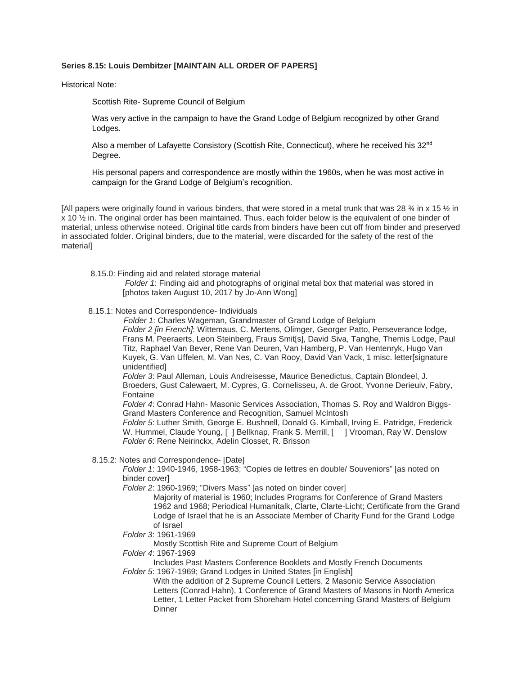## **Series 8.15: Louis Dembitzer [MAINTAIN ALL ORDER OF PAPERS]**

Historical Note:

Scottish Rite- Supreme Council of Belgium

Was very active in the campaign to have the Grand Lodge of Belgium recognized by other Grand Lodges.

Also a member of Lafayette Consistory (Scottish Rite, Connecticut), where he received his 32<sup>nd</sup> Degree.

His personal papers and correspondence are mostly within the 1960s, when he was most active in campaign for the Grand Lodge of Belgium's recognition.

[All papers were originally found in various binders, that were stored in a metal trunk that was 28  $\frac{3}{4}$  in x 15  $\frac{1}{2}$  in x 10 ½ in. The original order has been maintained. Thus, each folder below is the equivalent of one binder of material, unless otherwise noteed. Original title cards from binders have been cut off from binder and preserved in associated folder. Original binders, due to the material, were discarded for the safety of the rest of the material]

8.15.0: Finding aid and related storage material

*Folder 1*: Finding aid and photographs of original metal box that material was stored in [photos taken August 10, 2017 by Jo-Ann Wong]

8.15.1: Notes and Correspondence- Individuals

 *Folder 1*: Charles Wageman, Grandmaster of Grand Lodge of Belgium *Folder 2 [in French]*: Wittemaus, C. Mertens, Olimger, Georger Patto, Perseverance lodge, Frans M. Peeraerts, Leon Steinberg, Fraus Smit[s], David Siva, Tanghe, Themis Lodge, Paul Titz, Raphael Van Bever, Rene Van Deuren, Van Hamberg, P. Van Hentenryk, Hugo Van Kuyek, G. Van Uffelen, M. Van Nes, C. Van Rooy, David Van Vack, 1 misc. letter[signature unidentified]

*Folder 3*: Paul Alleman, Louis Andreisesse, Maurice Benedictus, Captain Blondeel, J. Broeders, Gust Calewaert, M. Cypres, G. Cornelisseu, A. de Groot, Yvonne Derieuiv, Fabry, Fontaine

*Folder 4*: Conrad Hahn- Masonic Services Association, Thomas S. Roy and Waldron Biggs-Grand Masters Conference and Recognition, Samuel McIntosh

*Folder 5*: Luther Smith, George E. Bushnell, Donald G. Kimball, Irving E. Patridge, Frederick W. Hummel, Claude Young, [ ] Bellknap, Frank S. Merrill, [ ] Vrooman, Ray W. Denslow *Folder 6*: Rene Neirinckx, Adelin Closset, R. Brisson

8.15.2: Notes and Correspondence- [Date]

*Folder 1*: 1940-1946, 1958-1963; "Copies de lettres en double/ Souveniors" [as noted on binder cover]

*Folder 2*: 1960-1969; "Divers Mass" [as noted on binder cover]

Majority of material is 1960; Includes Programs for Conference of Grand Masters 1962 and 1968; Periodical Humanitalk, Clarte, Clarte-Licht; Certificate from the Grand Lodge of Israel that he is an Associate Member of Charity Fund for the Grand Lodge of Israel

*Folder 3*: 1961-1969

Mostly Scottish Rite and Supreme Court of Belgium

*Folder 4*: 1967-1969

Includes Past Masters Conference Booklets and Mostly French Documents *Folder 5*: 1967-1969; Grand Lodges in United States [in English]

With the addition of 2 Supreme Council Letters, 2 Masonic Service Association Letters (Conrad Hahn), 1 Conference of Grand Masters of Masons in North America Letter, 1 Letter Packet from Shoreham Hotel concerning Grand Masters of Belgium Dinner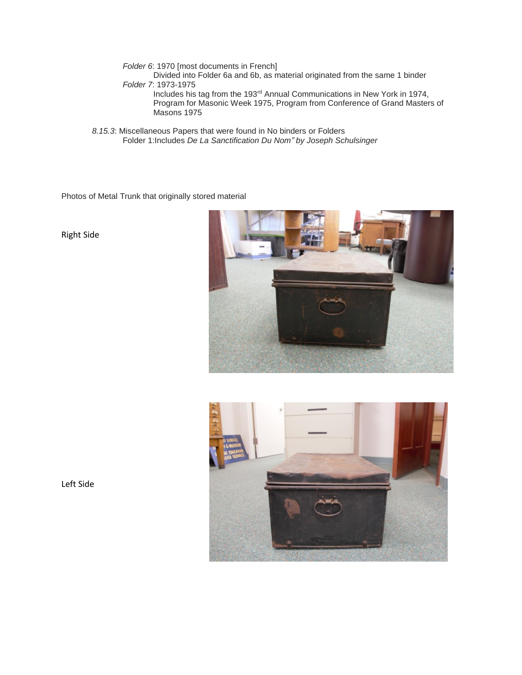*Folder 6*: 1970 [most documents in French]

Divided into Folder 6a and 6b, as material originated from the same 1 binder *Folder 7*: 1973-1975

Includes his tag from the 193<sup>rd</sup> Annual Communications in New York in 1974, Program for Masonic Week 1975, Program from Conference of Grand Masters of Masons 1975

*8.15.3*: Miscellaneous Papers that were found in No binders or Folders Folder 1:Includes *De La Sanctification Du Nom" by Joseph Schulsinger*

Photos of Metal Trunk that originally stored material

Right Side





Left Side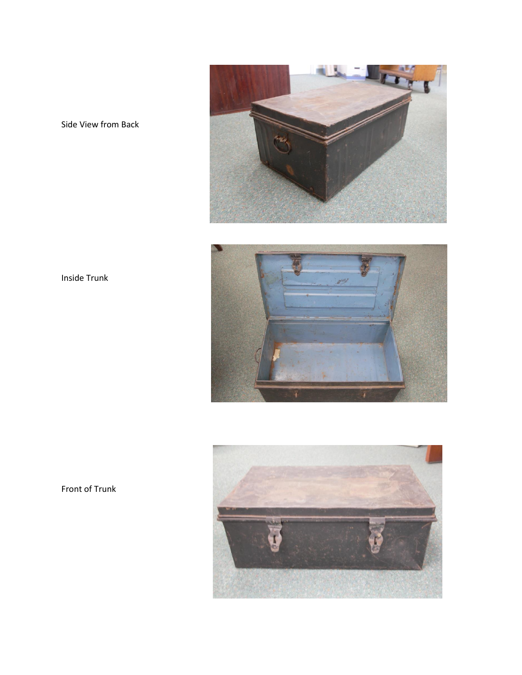

Side View from Back



Inside Trunk



Front of Trunk